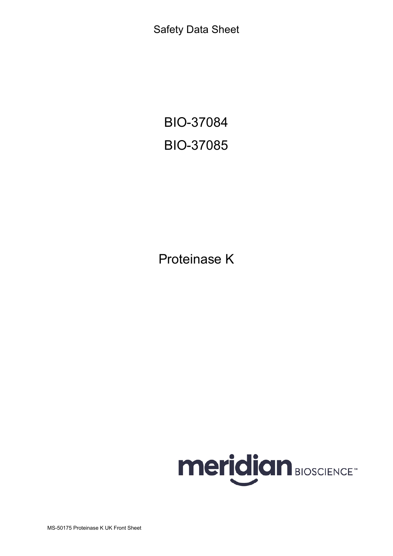Safety Data Sheet

BIO-37084 BIO-37085

Proteinase K



MS-50175 Proteinase K UK Front Sheet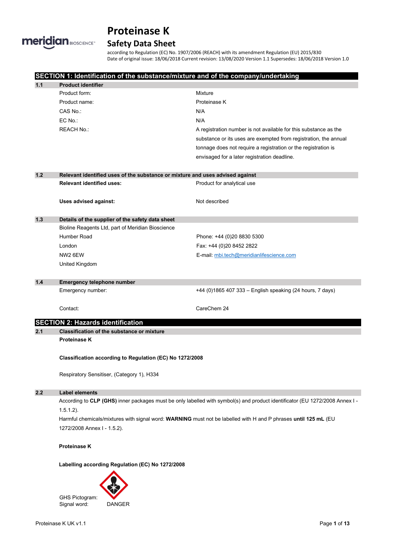

# **Safety Data Sheet**

according to Regulation (EC) No. 1907/2006 (REACH) with its amendment Regulation (EU) 2015/830 Date of original issue: 18/06/2018 Current revision: 13/08/2020 Version 1.1 Supersedes: 18/06/2018 Version 1.0

|                                            |                                                                               | SECTION 1: Identification of the substance/mixture and of the company/undertaking                                            |  |  |
|--------------------------------------------|-------------------------------------------------------------------------------|------------------------------------------------------------------------------------------------------------------------------|--|--|
| 1.1                                        | <b>Product identifier</b>                                                     |                                                                                                                              |  |  |
|                                            | Product form:                                                                 | Mixture                                                                                                                      |  |  |
|                                            | Product name:                                                                 | Proteinase K                                                                                                                 |  |  |
|                                            | CAS No.:                                                                      | N/A                                                                                                                          |  |  |
|                                            | EC No.:                                                                       | N/A                                                                                                                          |  |  |
|                                            | <b>REACH No.:</b>                                                             | A registration number is not available for this substance as the                                                             |  |  |
|                                            |                                                                               | substance or its uses are exempted from registration, the annual                                                             |  |  |
|                                            |                                                                               | tonnage does not require a registration or the registration is                                                               |  |  |
|                                            |                                                                               | envisaged for a later registration deadline.                                                                                 |  |  |
| $1.2$                                      | Relevant identified uses of the substance or mixture and uses advised against |                                                                                                                              |  |  |
|                                            | <b>Relevant identified uses:</b>                                              | Product for analytical use                                                                                                   |  |  |
|                                            | Uses advised against:                                                         | Not described                                                                                                                |  |  |
| 1.3                                        | Details of the supplier of the safety data sheet                              |                                                                                                                              |  |  |
|                                            | Bioline Reagents Ltd, part of Meridian Bioscience                             |                                                                                                                              |  |  |
|                                            | Humber Road                                                                   | Phone: +44 (0)20 8830 5300                                                                                                   |  |  |
|                                            | London                                                                        | Fax: +44 (0)20 8452 2822                                                                                                     |  |  |
|                                            | NW2 6EW                                                                       | E-mail: mbi.tech@meridianlifescience.com                                                                                     |  |  |
|                                            | United Kingdom                                                                |                                                                                                                              |  |  |
| 1.4                                        | <b>Emergency telephone number</b>                                             |                                                                                                                              |  |  |
|                                            | Emergency number:                                                             | +44 (0)1865 407 333 - English speaking (24 hours, 7 days)                                                                    |  |  |
|                                            |                                                                               |                                                                                                                              |  |  |
|                                            | Contact:                                                                      | CareChem 24                                                                                                                  |  |  |
|                                            | <b>SECTION 2: Hazards identification</b>                                      |                                                                                                                              |  |  |
| 2.1                                        | <b>Classification of the substance or mixture</b>                             |                                                                                                                              |  |  |
|                                            | Proteinase K                                                                  |                                                                                                                              |  |  |
|                                            | Classification according to Regulation (EC) No 1272/2008                      |                                                                                                                              |  |  |
| Respiratory Sensitiser, (Category 1), H334 |                                                                               |                                                                                                                              |  |  |
| 2.2                                        | <b>Label elements</b>                                                         |                                                                                                                              |  |  |
|                                            |                                                                               | According to CLP (GHS) inner packages must be only labelled with symbol(s) and product identificator (EU 1272/2008 Annex I - |  |  |
|                                            | $1.5.1.2$ ).                                                                  |                                                                                                                              |  |  |
|                                            |                                                                               | Harmful chemicals/mixtures with signal word: WARNING must not be labelled with H and P phrases until 125 mL (EU              |  |  |
|                                            | 1272/2008 Annex I - 1.5.2).                                                   |                                                                                                                              |  |  |
|                                            | Proteinase K                                                                  |                                                                                                                              |  |  |
|                                            | Labelling according Regulation (EC) No 1272/2008                              |                                                                                                                              |  |  |
|                                            |                                                                               |                                                                                                                              |  |  |

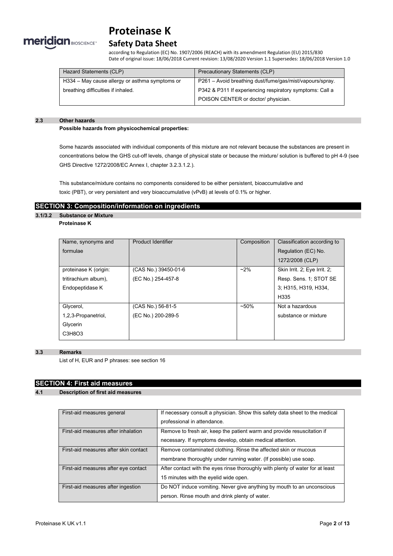

# **Safety Data Sheet**

according to Regulation (EC) No. 1907/2006 (REACH) with its amendment Regulation (EU) 2015/830 Date of original issue: 18/06/2018 Current revision: 13/08/2020 Version 1.1 Supersedes: 18/06/2018 Version 1.0

| Hazard Statements (CLP)                        | Precautionary Statements (CLP)                           |
|------------------------------------------------|----------------------------------------------------------|
| H334 – May cause allergy or asthma symptoms or | P261 – Avoid breathing dust/fume/gas/mist/vapours/spray. |
| breathing difficulties if inhaled.             | P342 & P311 If experiencing respiratory symptoms: Call a |
|                                                | POISON CENTER or doctor/ physician.                      |

#### **2.3 Other hazards**

**Possible hazards from physicochemical properties:**

Some hazards associated with individual components of this mixture are not relevant because the substances are present in concentrations below the GHS cut-off levels, change of physical state or because the mixture/ solution is buffered to pH 4-9 (see GHS Directive 1272/2008/EC Annex I, chapter 3.2.3.1.2.).

This substance/mixture contains no components considered to be either persistent, bioaccumulative and toxic (PBT), or very persistent and very bioaccumulative (vPvB) at levels of 0.1% or higher.

## **SECTION 3: Composition/information on ingredients**

### **3.1/3.2 Substance or Mixture Proteinase K**

| Name, synonyms and    | Product Identifier   | Composition | Classification according to  |
|-----------------------|----------------------|-------------|------------------------------|
| formulae              |                      |             | Regulation (EC) No.          |
|                       |                      |             | 1272/2008 (CLP)              |
| proteinase K (origin: | (CAS No.) 39450-01-6 | $~2\%$      | Skin Irrit. 2; Eye Irrit. 2; |
| tritirachium album),  | (EC No.) 254-457-8   |             | Resp. Sens. 1; STOT SE       |
| Endopeptidase K       |                      |             | 3; H315, H319, H334,         |
|                       |                      |             | H335                         |
| Glycerol,             | (CAS No.) 56-81-5    | $~1.50\%$   | Not a hazardous              |
| 1,2,3-Propanetriol,   | (EC No.) 200-289-5   |             | substance or mixture         |
| Glycerin              |                      |             |                              |
| C3H8O3                |                      |             |                              |

### **3.3 Remarks**

List of H, EUR and P phrases: see section 16

# **SECTION 4: First aid measures**

### **4.1 Description of first aid measures**

| First-aid measures general            | If necessary consult a physician. Show this safety data sheet to the medical<br>professional in attendance.                         |
|---------------------------------------|-------------------------------------------------------------------------------------------------------------------------------------|
| First-aid measures after inhalation   | Remove to fresh air, keep the patient warm and provide resuscitation if                                                             |
|                                       | necessary. If symptoms develop, obtain medical attention.                                                                           |
| First-aid measures after skin contact | Remove contaminated clothing. Rinse the affected skin or mucous<br>membrane thoroughly under running water. (If possible) use soap. |
| First-aid measures after eye contact  | After contact with the eyes rinse thoroughly with plenty of water for at least<br>15 minutes with the eyelid wide open.             |
| First-aid measures after ingestion    | Do NOT induce vomiting. Never give anything by mouth to an unconscious<br>person. Rinse mouth and drink plenty of water.            |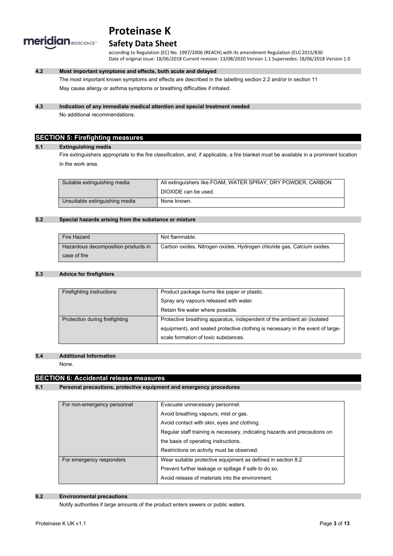

# **Safety Data Sheet**

according to Regulation (EC) No. 1907/2006 (REACH) with its amendment Regulation (EU) 2015/830 Date of original issue: 18/06/2018 Current revision: 13/08/2020 Version 1.1 Supersedes: 18/06/2018 Version 1.0

## **4.2 Most important symptoms and effects, both acute and delayed**

The most important known symptoms and effects are described in the labelling section 2.2 and/or in section 11 May cause allergy or asthma symptoms or breathing difficulties if inhaled.

### **4.3 Indication of any immediate medical attention and special treatment needed**

No additional recommendations.

# **SECTION 5: Firefighting measures**

#### **5.1 Extinguishing media**

Fire extinguishers appropriate to the fire classification, and, if applicable, a fire blanket must be available in a prominent location in the work area.

| Suitable extinguishing media   | All extinguishers like FOAM, WATER SPRAY, DRY POWDER, CARBON |
|--------------------------------|--------------------------------------------------------------|
|                                | DIOXIDE can be used.                                         |
| Unsuitable extinguishing media | None known.                                                  |

### **5.2 Special hazards arising from the substance or mixture**

| Fire Hazard                         | Not flammable.                                                         |
|-------------------------------------|------------------------------------------------------------------------|
| Hazardous decomposition products in | Carbon oxides, Nitrogen oxides, Hydrogen chloride gas, Calcium oxides. |
| case of fire                        |                                                                        |

### **5.3 Advice for firefighters**

| Firefighting instructions      | Product package burns like paper or plastic.                                   |
|--------------------------------|--------------------------------------------------------------------------------|
|                                | Spray any vapours released with water.                                         |
|                                | Retain fire water where possible.                                              |
| Protection during firefighting | Protective breathing apparatus, independent of the ambient air (isolated       |
|                                | equipment), and sealed protective clothing is necessary in the event of large- |
|                                | scale formation of toxic substances.                                           |
|                                |                                                                                |

#### **5.4 Additional Information**

None.

## **SECTION 6: Accidental release measures**

### **6.1 Personal precautions, protective equipment and emergency procedures**

| For non-emergency personnel | Evacuate unnecessary personnel.                                            |  |
|-----------------------------|----------------------------------------------------------------------------|--|
|                             | Avoid breathing vapours, mist or gas.                                      |  |
|                             | Avoid contact with skin, eyes and clothing.                                |  |
|                             | Regular staff training is necessary, indicating hazards and precautions on |  |
|                             | the basis of operating instructions.                                       |  |
|                             | Restrictions on activity must be observed.                                 |  |
| For emergency responders    | Wear suitable protective equipment as defined in section 8.2               |  |
|                             | Prevent further leakage or spillage if safe to do so.                      |  |
|                             | Avoid release of materials into the environment.                           |  |

### **6.2 Environmental precautions**

Notify authorities if large amounts of the product enters sewers or public waters.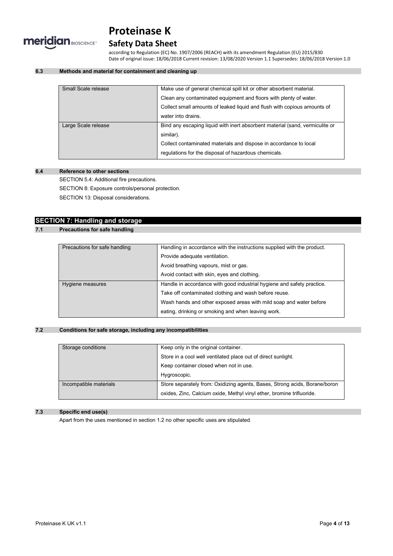

# **Safety Data Sheet**

according to Regulation (EC) No. 1907/2006 (REACH) with its amendment Regulation (EU) 2015/830 Date of original issue: 18/06/2018 Current revision: 13/08/2020 Version 1.1 Supersedes: 18/06/2018 Version 1.0

## **6.3 Methods and material for containment and cleaning up**

| Small Scale release | Make use of general chemical spill kit or other absorbent material.          |
|---------------------|------------------------------------------------------------------------------|
|                     | Clean any contaminated equipment and floors with plenty of water.            |
|                     | Collect small amounts of leaked liquid and flush with copious amounts of     |
|                     | water into drains.                                                           |
| Large Scale release | Bind any escaping liquid with inert absorbent material (sand, vermiculite or |
|                     | similar).                                                                    |
|                     | Collect contaminated materials and dispose in accordance to local            |
|                     | regulations for the disposal of hazardous chemicals.                         |
|                     |                                                                              |

### **6.4 Reference to other sections**

SECTION 5.4: Additional fire precautions.

SECTION 8: Exposure controls/personal protection.

SECTION 13: Disposal considerations.

# **SECTION 7: Handling and storage**

## **7.1 Precautions for safe handling**

| Precautions for safe handling | Handling in accordance with the instructions supplied with the product. |  |
|-------------------------------|-------------------------------------------------------------------------|--|
|                               | Provide adequate ventilation.                                           |  |
|                               | Avoid breathing vapours, mist or gas.                                   |  |
|                               | Avoid contact with skin, eyes and clothing.                             |  |
| Hygiene measures              | Handle in accordance with good industrial hygiene and safety practice.  |  |
|                               | Take off contaminated clothing and wash before reuse.                   |  |
|                               | Wash hands and other exposed areas with mild soap and water before      |  |
|                               | eating, drinking or smoking and when leaving work.                      |  |

### **7.2 Conditions for safe storage, including any incompatibilities**

| Storage conditions     | Keep only in the original container.                                       |  |
|------------------------|----------------------------------------------------------------------------|--|
|                        | Store in a cool well ventilated place out of direct sunlight.              |  |
|                        | Keep container closed when not in use.                                     |  |
|                        | Hygroscopic.                                                               |  |
| Incompatible materials | Store separately from: Oxidizing agents, Bases, Strong acids, Borane/boron |  |
|                        | oxides, Zinc, Calcium oxide, Methyl vinyl ether, bromine trifluoride.      |  |

## **7.3 Specific end use(s)**

Apart from the uses mentioned in section 1.2 no other specific uses are stipulated.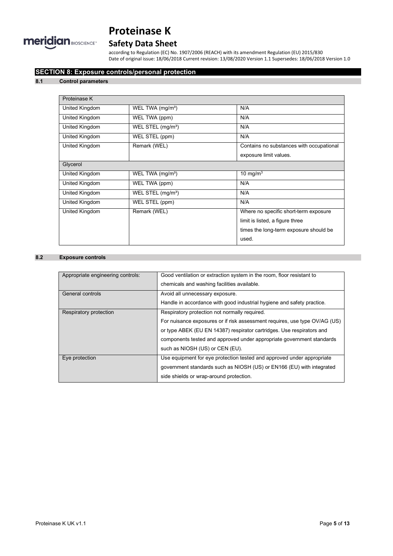

# **Safety Data Sheet**

according to Regulation (EC) No. 1907/2006 (REACH) with its amendment Regulation (EU) 2015/830 Date of original issue: 18/06/2018 Current revision: 13/08/2020 Version 1.1 Supersedes: 18/06/2018 Version 1.0

# **SECTION 8: Exposure controls/personal protection**

### **8.1 Control parameters**

| Proteinase K   |                               |                                          |  |
|----------------|-------------------------------|------------------------------------------|--|
| United Kingdom | WEL TWA $(mg/m3)$             | N/A                                      |  |
| United Kingdom | WEL TWA (ppm)                 | N/A                                      |  |
| United Kingdom | WEL STEL (mg/m <sup>3</sup> ) | N/A                                      |  |
| United Kingdom | WEL STEL (ppm)                | N/A                                      |  |
| United Kingdom | Remark (WEL)                  | Contains no substances with occupational |  |
|                |                               | exposure limit values.                   |  |
| Glycerol       |                               |                                          |  |
| United Kingdom | WEL TWA $(mg/m3)$             | 10 mg/m $3$                              |  |
| United Kingdom | WEL TWA (ppm)                 | N/A                                      |  |
| United Kingdom | WEL STEL $(mg/m3)$            | N/A                                      |  |
| United Kingdom | WEL STEL (ppm)                | N/A                                      |  |
| United Kingdom | Remark (WEL)                  | Where no specific short-term exposure    |  |
|                |                               | limit is listed, a figure three          |  |
|                |                               | times the long-term exposure should be   |  |
|                |                               | used.                                    |  |

### **8.2 Exposure controls**

| Appropriate engineering controls: | Good ventilation or extraction system in the room, floor resistant to      |
|-----------------------------------|----------------------------------------------------------------------------|
|                                   | chemicals and washing facilities available.                                |
| General controls                  | Avoid all unnecessary exposure.                                            |
|                                   | Handle in accordance with good industrial hygiene and safety practice.     |
| Respiratory protection            | Respiratory protection not normally required.                              |
|                                   | For nuisance exposures or if risk assessment requires, use type OV/AG (US) |
|                                   | or type ABEK (EU EN 14387) respirator cartridges. Use respirators and      |
|                                   | components tested and approved under appropriate government standards      |
|                                   | such as NIOSH (US) or CEN (EU).                                            |
| Eye protection                    | Use equipment for eye protection tested and approved under appropriate     |
|                                   | government standards such as NIOSH (US) or EN166 (EU) with integrated      |
|                                   | side shields or wrap-around protection.                                    |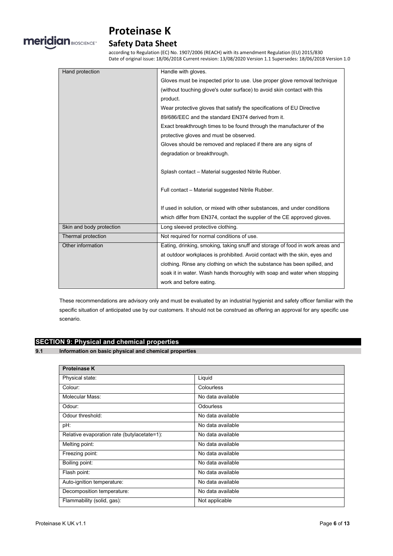

# **Safety Data Sheet**

according to Regulation (EC) No. 1907/2006 (REACH) with its amendment Regulation (EU) 2015/830 Date of original issue: 18/06/2018 Current revision: 13/08/2020 Version 1.1 Supersedes: 18/06/2018 Version 1.0

| Hand protection          | Handle with gloves.                                                           |
|--------------------------|-------------------------------------------------------------------------------|
|                          | Gloves must be inspected prior to use. Use proper glove removal technique     |
|                          | (without touching glove's outer surface) to avoid skin contact with this      |
|                          | product.                                                                      |
|                          | Wear protective gloves that satisfy the specifications of EU Directive        |
|                          | 89/686/EEC and the standard EN374 derived from it.                            |
|                          | Exact breakthrough times to be found through the manufacturer of the          |
|                          | protective gloves and must be observed.                                       |
|                          | Gloves should be removed and replaced if there are any signs of               |
|                          | degradation or breakthrough.                                                  |
|                          |                                                                               |
|                          | Splash contact - Material suggested Nitrile Rubber.                           |
|                          |                                                                               |
|                          | Full contact - Material suggested Nitrile Rubber.                             |
|                          |                                                                               |
|                          | If used in solution, or mixed with other substances, and under conditions     |
|                          | which differ from EN374, contact the supplier of the CE approved gloves.      |
| Skin and body protection | Long sleeved protective clothing.                                             |
| Thermal protection       | Not required for normal conditions of use.                                    |
| Other information        | Eating, drinking, smoking, taking snuff and storage of food in work areas and |
|                          | at outdoor workplaces is prohibited. Avoid contact with the skin, eyes and    |
|                          | clothing. Rinse any clothing on which the substance has been spilled, and     |
|                          | soak it in water. Wash hands thoroughly with soap and water when stopping     |
|                          | work and before eating.                                                       |

These recommendations are advisory only and must be evaluated by an industrial hygienist and safety officer familiar with the specific situation of anticipated use by our customers. It should not be construed as offering an approval for any specific use scenario.

# **SECTION 9: Physical and chemical properties**

**9.1 Information on basic physical and chemical properties**

| <b>Proteinase K</b>                         |                   |
|---------------------------------------------|-------------------|
| Physical state:                             | Liquid            |
| Colour:                                     | Colourless        |
| Molecular Mass:                             | No data available |
| Odour:                                      | <b>Odourless</b>  |
| Odour threshold:                            | No data available |
| pH:                                         | No data available |
| Relative evaporation rate (butylacetate=1): | No data available |
| Melting point:                              | No data available |
| Freezing point:                             | No data available |
| Boiling point:                              | No data available |
| Flash point:                                | No data available |
| Auto-ignition temperature:                  | No data available |
| Decomposition temperature:                  | No data available |
| Flammability (solid, gas):                  | Not applicable    |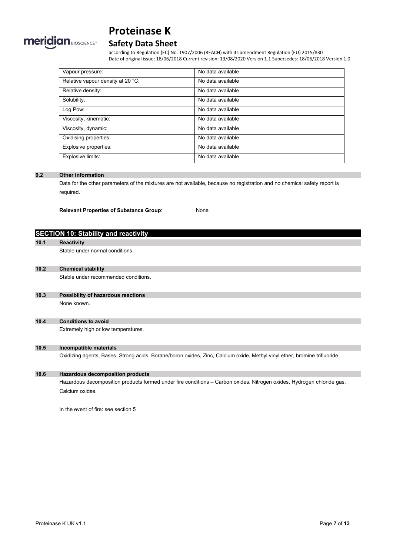

# **Safety Data Sheet**

according to Regulation (EC) No. 1907/2006 (REACH) with its amendment Regulation (EU) 2015/830 Date of original issue: 18/06/2018 Current revision: 13/08/2020 Version 1.1 Supersedes: 18/06/2018 Version 1.0

| Vapour pressure:                  | No data available |
|-----------------------------------|-------------------|
| Relative vapour density at 20 °C: | No data available |
| Relative density:                 | No data available |
| Solubility:                       | No data available |
| Log Pow:                          | No data available |
| Viscosity, kinematic:             | No data available |
| Viscosity, dynamic:               | No data available |
| Oxidising properties:             | No data available |
| Explosive properties:             | No data available |
| Explosive limits:                 | No data available |

### **9.2 Other information**

Data for the other parameters of the mixtures are not available, because no registration and no chemical safety report is required.

**Relevant Properties of Substance Group**: None

# **SECTION 10: Stability and reactivity**

**10.1 Reactivity**

Stable under normal conditions.

#### **10.2 Chemical stability**

Stable under recommended conditions.

### **10.3 Possibility of hazardous reactions** None known.

# **10.4 Conditions to avoid**

Extremely high or low temperatures.

## **10.5 Incompatible materials**

Oxidizing agents, Bases, Strong acids, Borane/boron oxides, Zinc, Calcium oxide, Methyl vinyl ether, bromine trifluoride.

# **10.6 Hazardous decomposition products**

Hazardous decomposition products formed under fire conditions – Carbon oxides, Nitrogen oxides, Hydrogen chloride gas, Calcium oxides.

In the event of fire: see section 5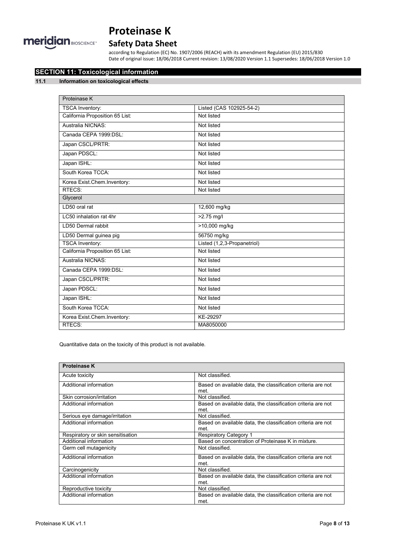

# **Safety Data Sheet**

according to Regulation (EC) No. 1907/2006 (REACH) with its amendment Regulation (EU) 2015/830 Date of original issue: 18/06/2018 Current revision: 13/08/2020 Version 1.1 Supersedes: 18/06/2018 Version 1.0

# **SECTION 11: Toxicological information**

## **11.1 Information on toxicological effects**

| Proteinase K                    |                             |
|---------------------------------|-----------------------------|
| <b>TSCA Inventory:</b>          | Listed (CAS 102925-54-2)    |
| California Proposition 65 List: | Not listed                  |
| Australia NICNAS:               | Not listed                  |
| Canada CEPA 1999:DSL:           | Not listed                  |
| Japan CSCL/PRTR:                | Not listed                  |
| Japan PDSCL:                    | Not listed                  |
| Japan ISHL:                     | Not listed                  |
| South Korea TCCA.               | Not listed                  |
| Korea Exist.Chem.Inventory:     | Not listed                  |
| RTECS:                          | Not listed                  |
| Glycerol                        |                             |
| LD50 oral rat                   | 12,600 mg/kg                |
| LC50 inhalation rat 4hr         | $>2.75$ mg/l                |
| LD50 Dermal rabbit              | >10,000 mg/kg               |
| LD50 Dermal guinea pig          | 56750 mg/kg                 |
| <b>TSCA Inventory:</b>          | Listed (1,2,3-Propanetriol) |
| California Proposition 65 List: | Not listed                  |
| Australia NICNAS:               | Not listed                  |
| Canada CEPA 1999:DSL:           | Not listed                  |
| Japan CSCL/PRTR:                | Not listed                  |
| Japan PDSCL:                    | Not listed                  |
| Japan ISHL:                     | Not listed                  |
| South Korea TCCA:               | Not listed                  |
| Korea Exist.Chem.Inventory:     | KE-29297                    |
| RTECS:                          | MA8050000                   |

Quantitative data on the toxicity of this product is not available.

| <b>Proteinase K</b>               |                                                                      |
|-----------------------------------|----------------------------------------------------------------------|
| Acute toxicity                    | Not classified.                                                      |
| Additional information            | Based on available data, the classification criteria are not<br>met. |
| Skin corrosion/irritation         | Not classified                                                       |
| Additional information            | Based on available data, the classification criteria are not<br>met  |
| Serious eye damage/irritation     | Not classified                                                       |
| Additional information            | Based on available data, the classification criteria are not         |
|                                   | met.                                                                 |
| Respiratory or skin sensitisation | <b>Respiratory Category 1</b>                                        |
| Additional information            | Based on concentration of Proteinase K in mixture.                   |
| Germ cell mutagenicity            | Not classified.                                                      |
| Additional information            | Based on available data, the classification criteria are not<br>met  |
| Carcinogenicity                   | Not classified.                                                      |
| Additional information            | Based on available data, the classification criteria are not         |
|                                   | met.                                                                 |
| Reproductive toxicity             | Not classified.                                                      |
| Additional information            | Based on available data, the classification criteria are not<br>met. |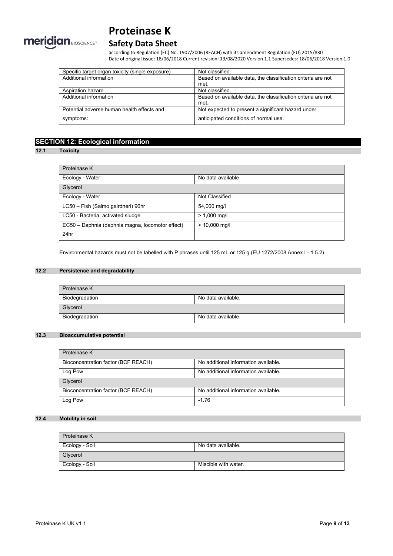

# **Safety Data Sheet**

according to Regulation (EC) No. 1907/2006 (REACH) with its amendment Regulation (EU) 2015/830 Date of original issue: 18/06/2018 Current revision: 13/08/2020 Version 1.1 Supersedes: 18/06/2018 Version 1.0

| Specific target organ toxicity (single exposure) | Not classified.                                              |
|--------------------------------------------------|--------------------------------------------------------------|
| Additional information                           | Based on available data, the classification criteria are not |
|                                                  | met.                                                         |
| Aspiration hazard                                | Not classified.                                              |
| Additional information                           | Based on available data, the classification criteria are not |
|                                                  | met.                                                         |
| Potential adverse human health effects and       | Not expected to present a significant hazard under           |
| symptoms:                                        | anticipated conditions of normal use.                        |

# **SECTION 12: Ecological information**

#### **12.1 Toxicity**

| Proteinase K                                     |                   |
|--------------------------------------------------|-------------------|
| Ecology - Water                                  | No data available |
| Glycerol                                         |                   |
| Ecology - Water                                  | Not Classified    |
| LC50 - Fish (Salmo gairdneri) 96hr               | 54,000 mg/l       |
| LC50 - Bacteria, activated sludge                | $> 1,000$ mg/l    |
| EC50 - Daphnia (daphnia magna, locomotor effect) | $> 10,000$ mg/l   |
| 24hr                                             |                   |

Environmental hazards must not be labelled with P phrases until 125 mL or 125 g (EU 1272/2008 Annex I - 1.5.2).

# **12.2 Persistence and degradability**

| Proteinase K   |                    |
|----------------|--------------------|
| Biodegradation | No data available. |
| Glycerol       |                    |
| Biodegradation | No data available. |

## **12.3 Bioaccumulative potential**

| Proteinase K                        |                                      |
|-------------------------------------|--------------------------------------|
| Bioconcentration factor (BCF REACH) | No additional information available. |
| Log Pow                             | No additional information available. |
| Glycerol                            |                                      |
| Bioconcentration factor (BCF REACH) | No additional information available. |
| Log Pow                             | $-1.76$                              |

# **12.4 Mobility in soil**

| Proteinase K   |                      |
|----------------|----------------------|
| Ecology - Soil | No data available.   |
| Glycerol       |                      |
| Ecology - Soil | Miscible with water. |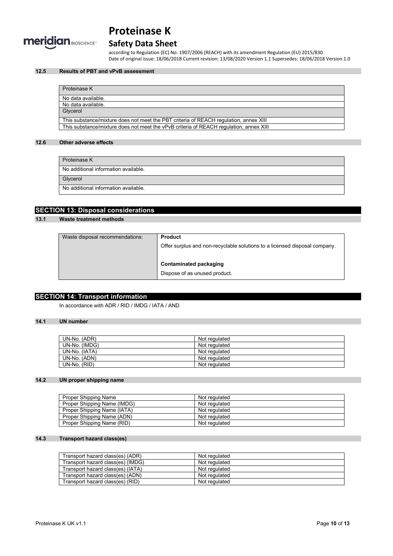

# **Safety Data Sheet**

according to Regulation (EC) No. 1907/2006 (REACH) with its amendment Regulation (EU) 2015/830 Date of original issue: 18/06/2018 Current revision: 13/08/2020 Version 1.1 Supersedes: 18/06/2018 Version 1.0

### **12.5 Results of PBT and vPvB assessment**

| Proteinase K                                                                           |
|----------------------------------------------------------------------------------------|
| No data available.                                                                     |
| No data available.                                                                     |
| Glycerol                                                                               |
| This substance/mixture does not meet the PBT criteria of REACH regulation, annex XIII  |
| This substance/mixture does not meet the vPvB criteria of REACH regulation, annex XIII |

## **12.6 Other adverse effects**

| Proteinase K                         |
|--------------------------------------|
| No additional information available. |
| Glycerol                             |
| No additional information available. |

# **SECTION 13: Disposal considerations**

### **13.1 Waste treatment methods**

| <b>Product</b>                                                             |
|----------------------------------------------------------------------------|
| Offer surplus and non-recyclable solutions to a licensed disposal company. |
|                                                                            |
| Contaminated packaging                                                     |
| Dispose of as unused product.                                              |
|                                                                            |

# **SECTION 14: Transport information**

In accordance with ADR / RID / IMDG / IATA / AND

## **14.1 UN number**

| UN-No. (ADR)  | Not regulated |
|---------------|---------------|
| UN-No. (IMDG) | Not regulated |
| UN-No. (IATA) | Not regulated |
| UN-No. (ADN)  | Not regulated |
| UN-No. (RID)  | Not regulated |

### **14.2 UN proper shipping name**

| Proper Shipping Name        | Not regulated |
|-----------------------------|---------------|
| Proper Shipping Name (IMDG) | Not regulated |
| Proper Shipping Name (IATA) | Not regulated |
| Proper Shipping Name (ADN)  | Not regulated |
| Proper Shipping Name (RID)  | Not regulated |

### **14.3 Transport hazard class(es)**

| Transport hazard class(es) (ADR)  | Not regulated |
|-----------------------------------|---------------|
| Transport hazard class(es) (IMDG) | Not regulated |
| Transport hazard class(es) (IATA) | Not regulated |
| Transport hazard class(es) (ADN)  | Not regulated |
| Transport hazard class(es) (RID)  | Not regulated |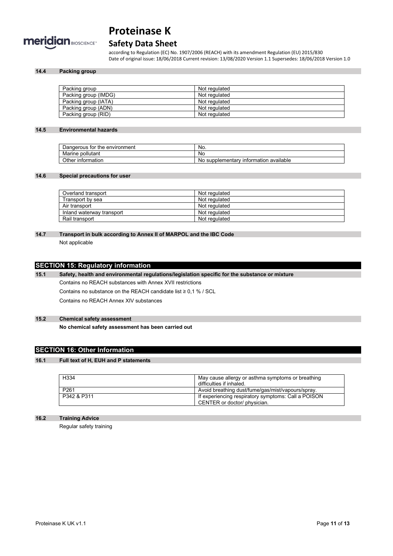

# **Safety Data Sheet**

according to Regulation (EC) No. 1907/2006 (REACH) with its amendment Regulation (EU) 2015/830 Date of original issue: 18/06/2018 Current revision: 13/08/2020 Version 1.1 Supersedes: 18/06/2018 Version 1.0

### **14.4 Packing group**

| Packing group        | Not regulated |
|----------------------|---------------|
| Packing group (IMDG) | Not regulated |
| Packing group (IATA) | Not regulated |
| Packing group (ADN)  | Not regulated |
| Packing group (RID)  | Not regulated |

#### **14.5 Environmental hazards**

| Dangerous for the environment | No.                                              |
|-------------------------------|--------------------------------------------------|
| Marine<br>pollutant           | No                                               |
| Other information             | available<br>، supplementary information •<br>No |

#### **14.6 Special precautions for user**

| Overland transport        | Not regulated |
|---------------------------|---------------|
| Transport by sea          | Not regulated |
| Air transport             | Not regulated |
| Inland waterway transport | Not regulated |
| Rail transport            | Not regulated |

# **14.7 Transport in bulk according to Annex II of MARPOL and the IBC Code**

Not applicable

# **SECTION 15: Regulatory information**

**15.1 Safety, health and environmental regulations/legislation specific for the substance or mixture** Contains no REACH substances with Annex XVII restrictions Contains no substance on the REACH candidate list  $\geq 0.1$  % / SCL Contains no REACH Annex XIV substances

### **15.2 Chemical safety assessment**

**No chemical safety assessment has been carried out**

## **SECTION 16: Other Information**

#### **16.1 Full text of H, EUH and P statements**

| H334             | May cause allergy or asthma symptoms or breathing<br>difficulties if inhaled.       |
|------------------|-------------------------------------------------------------------------------------|
| P <sub>261</sub> | Avoid breathing dust/fume/gas/mist/vapours/spray.                                   |
| P342 & P311      | If experiencing respiratory symptoms: Call a POISON<br>CENTER or doctor/ physician. |

## **16.2 Training Advice**

Regular safety training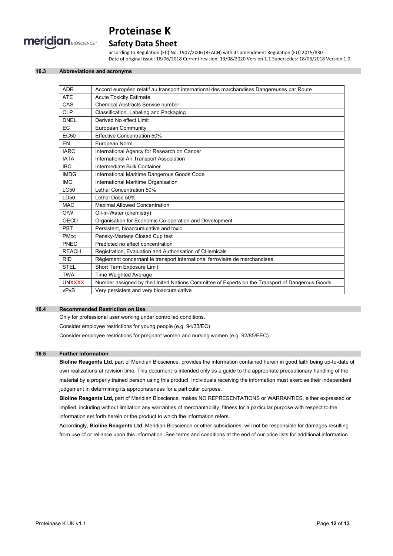

# **Safety Data Sheet**

according to Regulation (EC) No. 1907/2006 (REACH) with its amendment Regulation (EU) 2015/830 Date of original issue: 18/06/2018 Current revision: 13/08/2020 Version 1.1 Supersedes: 18/06/2018 Version 1.0

#### **16.3 Abbreviations and acronyms**

| <b>ADR</b>       | Accord européen relatif au transport international des marchandises Dangereuses par Route      |
|------------------|------------------------------------------------------------------------------------------------|
| <b>ATE</b>       | <b>Acute Toxicity Estimate</b>                                                                 |
| CAS              | <b>Chemical Abstracts Service number</b>                                                       |
| <b>CLP</b>       | Classification, Labeling and Packaging                                                         |
| <b>DNEL</b>      | Derived No effect Limit                                                                        |
| <b>EC</b>        | <b>European Community</b>                                                                      |
| EC <sub>50</sub> | <b>Effective Concentration 50%</b>                                                             |
| EN               | European Norm                                                                                  |
| <b>IARC</b>      | International Agency for Research on Cancer                                                    |
| <b>IATA</b>      | <b>International Air Transport Association</b>                                                 |
| <b>IBC</b>       | Intermediate Bulk Container                                                                    |
| <b>IMDG</b>      | International Maritime Dangerous Goods Code                                                    |
| <b>IMO</b>       | International Maritime Organisation                                                            |
| <b>LC50</b>      | Lethal Concentration 50%                                                                       |
| LD50             | Lethal Dose 50%                                                                                |
| <b>MAC</b>       | <b>Maximal Allowed Concentration</b>                                                           |
| O/W              | Oil-in-Water (chemistry)                                                                       |
| <b>OECD</b>      | Organisation for Economic Co-operation and Development                                         |
| PBT              | Persistent, bioaccumulative and toxic                                                          |
| <b>PMcc</b>      | Pensky-Martens Closed Cup test                                                                 |
| PNEC             | Predicted no effect concentration                                                              |
| <b>REACH</b>     | Registration, Evaluation and Authorisation of CHemicals                                        |
| <b>RID</b>       | Règlement concernant le transport international ferroviaire de marchandises                    |
| <b>STEL</b>      | Short Term Exposure Limit                                                                      |
| <b>TWA</b>       | <b>Time Weighted Average</b>                                                                   |
| <b>UNXXXX</b>    | Number assigned by the United Nations Committee of Experts on the Transport of Dangerous Goods |
| vPvB             | Very persistent and very bioaccumulative                                                       |

### **16.4 Recommended Restriction on Use**

Only for professional user working under controlled conditions.

Consider employee restrictions for young people (e.g. 94/33/EC)

Consider employee restrictions for pregnant women and nursing women (e.g. 92/85/EEC)

#### **16.5 Further Information**

**Bioline Reagents Ltd,** part of Meridian Bioscience, provides the information contained herein in good faith being up-to-date of own realizations at revision time. This document is intended only as a guide to the appropriate precautionary handling of the material by a properly trained person using this product. Individuals receiving the information must exercise their independent judgement in determining its appropriateness for a particular purpose.

**Bioline Reagents Ltd,** part of Meridian Bioscience, makes NO REPRESENTATIONS or WARRANTIES, either expressed or implied, including without limitation any warranties of merchantability, fitness for a particular purpose with respect to the information set forth herein or the product to which the information refers.

Accordingly, **Bioline Reagents Ltd**, Meridian Bioscience or other subsidiaries, will not be responsible for damages resulting from use of or reliance upon this information. See terms and conditions at the end of our price lists for additional information.